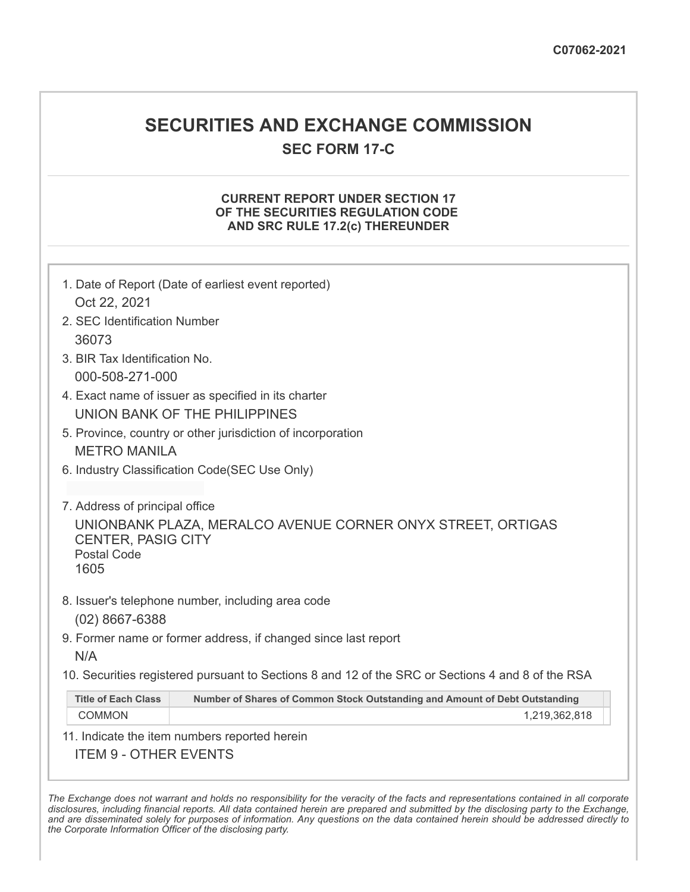# **SECURITIES AND EXCHANGE COMMISSION**

**SEC FORM 17-C**

## **CURRENT REPORT UNDER SECTION 17 OF THE SECURITIES REGULATION CODE AND SRC RULE 17.2(c) THEREUNDER**

| 1. Date of Report (Date of earliest event reported)                                                                                                      |  |  |
|----------------------------------------------------------------------------------------------------------------------------------------------------------|--|--|
| Oct 22, 2021                                                                                                                                             |  |  |
| 2. SEC Identification Number                                                                                                                             |  |  |
| 36073                                                                                                                                                    |  |  |
| 3. BIR Tax Identification No.                                                                                                                            |  |  |
| 000-508-271-000                                                                                                                                          |  |  |
| 4. Exact name of issuer as specified in its charter                                                                                                      |  |  |
| UNION BANK OF THE PHILIPPINES                                                                                                                            |  |  |
| 5. Province, country or other jurisdiction of incorporation                                                                                              |  |  |
| <b>METRO MANILA</b>                                                                                                                                      |  |  |
| 6. Industry Classification Code(SEC Use Only)                                                                                                            |  |  |
|                                                                                                                                                          |  |  |
| 7. Address of principal office<br>UNIONBANK PLAZA, MERALCO AVENUE CORNER ONYX STREET, ORTIGAS<br><b>CENTER, PASIG CITY</b><br><b>Postal Code</b><br>1605 |  |  |
| 8. Issuer's telephone number, including area code<br>$(02)$ 8667-6388                                                                                    |  |  |
| 9. Former name or former address, if changed since last report                                                                                           |  |  |
| N/A                                                                                                                                                      |  |  |
| 10. Securities registered pursuant to Sections 8 and 12 of the SRC or Sections 4 and 8 of the RSA                                                        |  |  |
| <b>Title of Each Class</b><br>Number of Shares of Common Stock Outstanding and Amount of Debt Outstanding                                                |  |  |
| <b>COMMON</b><br>1,219,362,818                                                                                                                           |  |  |
| 11. Indicate the item numbers reported herein                                                                                                            |  |  |
| <b>ITEM 9 - OTHER EVENTS</b>                                                                                                                             |  |  |

The Exchange does not warrant and holds no responsibility for the veracity of the facts and representations contained in all corporate disclosures, including financial reports. All data contained herein are prepared and submitted by the disclosing party to the Exchange, and are disseminated solely for purposes of information. Any questions on the data contained herein should be addressed directly to *the Corporate Information Officer of the disclosing party.*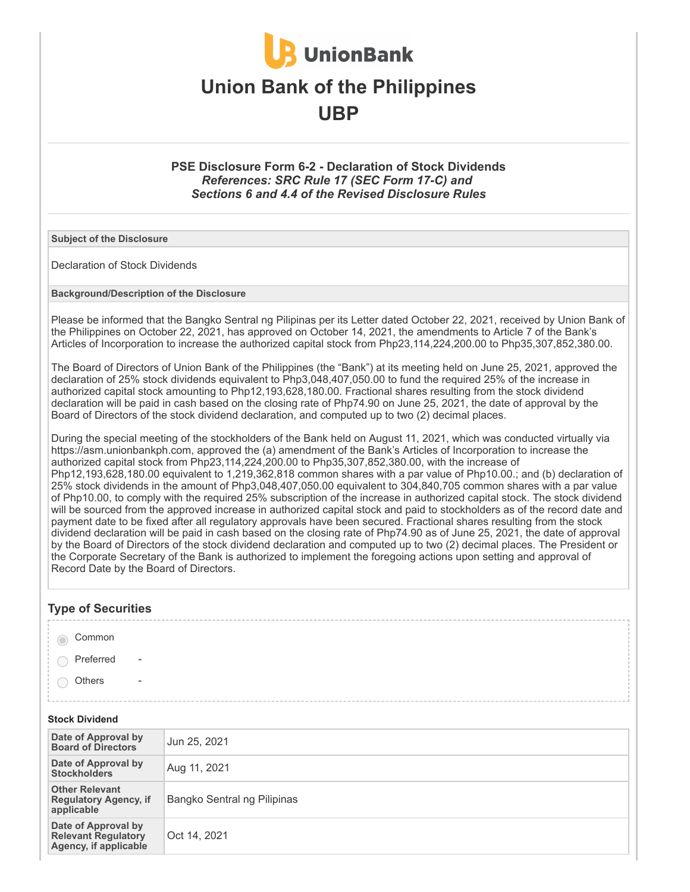

## **Union Bank of the Philippines UBP**

## **PSE Disclosure Form 6-2 - Declaration of Stock Dividends** *References: SRC Rule 17 (SEC Form 17-C) and Sections 6 and 4.4 of the Revised Disclosure Rules*

**Subject of the Disclosure**

Declaration of Stock Dividends

**Background/Description of the Disclosure**

Please be informed that the Bangko Sentral ng Pilipinas per its Letter dated October 22, 2021, received by Union Bank of the Philippines on October 22, 2021, has approved on October 14, 2021, the amendments to Article 7 of the Bank's Articles of Incorporation to increase the authorized capital stock from Php23,114,224,200.00 to Php35,307,852,380.00.

The Board of Directors of Union Bank of the Philippines (the "Bank") at its meeting held on June 25, 2021, approved the declaration of 25% stock dividends equivalent to Php3,048,407,050.00 to fund the required 25% of the increase in authorized capital stock amounting to Php12,193,628,180.00. Fractional shares resulting from the stock dividend declaration will be paid in cash based on the closing rate of Php74.90 on June 25, 2021, the date of approval by the Board of Directors of the stock dividend declaration, and computed up to two (2) decimal places.

During the special meeting of the stockholders of the Bank held on August 11, 2021, which was conducted virtually via https://asm.unionbankph.com, approved the (a) amendment of the Bank's Articles of Incorporation to increase the authorized capital stock from Php23,114,224,200.00 to Php35,307,852,380.00, with the increase of Php12,193,628,180.00 equivalent to 1,219,362,818 common shares with a par value of Php10.00.; and (b) declaration of 25% stock dividends in the amount of Php3,048,407,050.00 equivalent to 304,840,705 common shares with a par value of Php10.00, to comply with the required 25% subscription of the increase in authorized capital stock. The stock dividend will be sourced from the approved increase in authorized capital stock and paid to stockholders as of the record date and payment date to be fixed after all regulatory approvals have been secured. Fractional shares resulting from the stock dividend declaration will be paid in cash based on the closing rate of Php74.90 as of June 25, 2021, the date of approval by the Board of Directors of the stock dividend declaration and computed up to two (2) decimal places. The President or the Corporate Secretary of the Bank is authorized to implement the foregoing actions upon setting and approval of Record Date by the Board of Directors.

## **Type of Securities**

| Common                          |                         |  |
|---------------------------------|-------------------------|--|
|                                 |                         |  |
| $\bigcirc$ Preferred            | $\sim 100$ km s $^{-1}$ |  |
|                                 |                         |  |
| $\bigcirc$ Others<br>$\sim$ $-$ |                         |  |
|                                 |                         |  |
|                                 |                         |  |
|                                 |                         |  |

#### **Stock Dividend**

| Date of Approval by<br><b>Board of Directors</b>                           | Jun 25, 2021                |
|----------------------------------------------------------------------------|-----------------------------|
| Date of Approval by<br><b>Stockholders</b>                                 | Aug 11, 2021                |
| <b>Other Relevant</b><br><b>Regulatory Agency, if</b><br>applicable        | Bangko Sentral ng Pilipinas |
| Date of Approval by<br><b>Relevant Regulatory</b><br>Agency, if applicable | Oct 14, 2021                |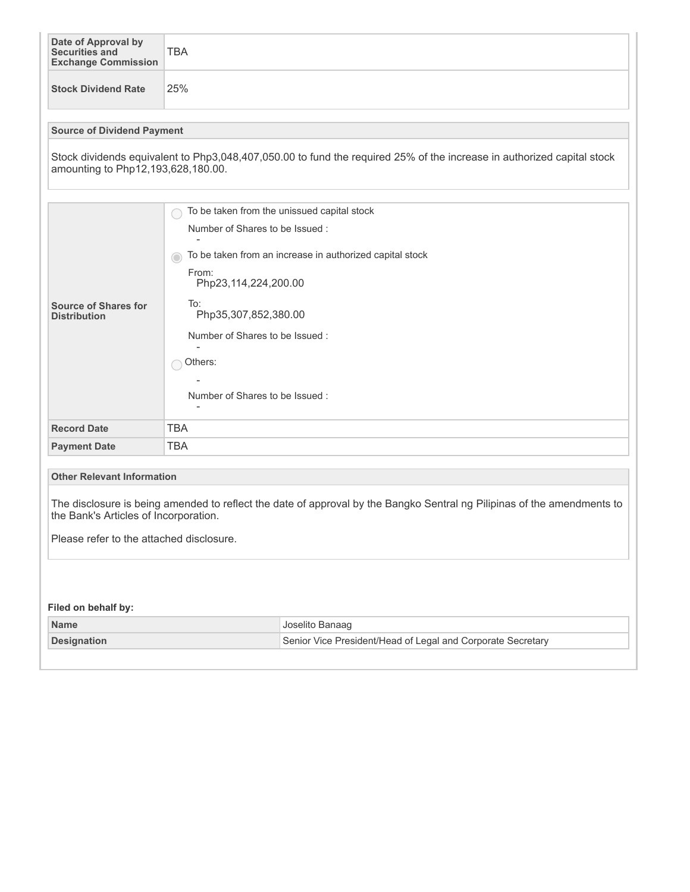| Date of Approval by<br>Securities and<br><b>Exchange Commission</b>                                                                                              | <b>TBA</b>                                                    |  |  |  |
|------------------------------------------------------------------------------------------------------------------------------------------------------------------|---------------------------------------------------------------|--|--|--|
| <b>Stock Dividend Rate</b>                                                                                                                                       | 25%                                                           |  |  |  |
| <b>Source of Dividend Payment</b>                                                                                                                                |                                                               |  |  |  |
| Stock dividends equivalent to Php3,048,407,050.00 to fund the required 25% of the increase in authorized capital stock<br>amounting to Php12,193,628,180.00.     |                                                               |  |  |  |
|                                                                                                                                                                  |                                                               |  |  |  |
|                                                                                                                                                                  | To be taken from the unissued capital stock                   |  |  |  |
|                                                                                                                                                                  | Number of Shares to be Issued:                                |  |  |  |
|                                                                                                                                                                  | To be taken from an increase in authorized capital stock<br>O |  |  |  |
|                                                                                                                                                                  | From:<br>Php23,114,224,200.00                                 |  |  |  |
| <b>Source of Shares for</b><br><b>Distribution</b>                                                                                                               | To:<br>Php35,307,852,380.00                                   |  |  |  |
|                                                                                                                                                                  | Number of Shares to be Issued:                                |  |  |  |
|                                                                                                                                                                  |                                                               |  |  |  |
|                                                                                                                                                                  | Others:                                                       |  |  |  |
|                                                                                                                                                                  |                                                               |  |  |  |
|                                                                                                                                                                  | Number of Shares to be Issued:<br>۰                           |  |  |  |
| <b>Record Date</b>                                                                                                                                               | <b>TBA</b>                                                    |  |  |  |
| <b>Payment Date</b>                                                                                                                                              | <b>TBA</b>                                                    |  |  |  |
|                                                                                                                                                                  |                                                               |  |  |  |
| <b>Other Relevant Information</b>                                                                                                                                |                                                               |  |  |  |
| The disclosure is being amended to reflect the date of approval by the Bangko Sentral ng Pilipinas of the amendments to<br>the Bank's Articles of Incorporation. |                                                               |  |  |  |
| Please refer to the attached disclosure.                                                                                                                         |                                                               |  |  |  |
|                                                                                                                                                                  |                                                               |  |  |  |
|                                                                                                                                                                  |                                                               |  |  |  |
| Filed on behalf by:                                                                                                                                              |                                                               |  |  |  |
| <b>Name</b>                                                                                                                                                      | Joselito Banaag                                               |  |  |  |
| <b>Designation</b>                                                                                                                                               | Senior Vice President/Head of Legal and Corporate Secretary   |  |  |  |
|                                                                                                                                                                  |                                                               |  |  |  |